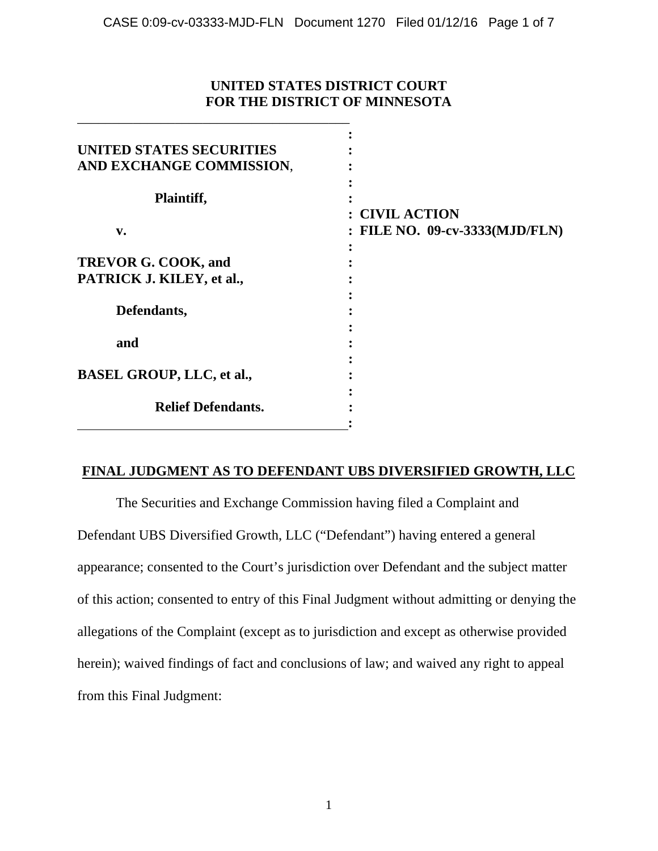## **UNITED STATES DISTRICT COURT FOR THE DISTRICT OF MINNESOTA**

\_\_\_\_\_\_\_\_\_\_\_\_\_\_\_\_\_\_\_\_\_\_\_\_\_\_\_\_\_\_\_\_\_\_\_\_\_\_\_

| UNITED STATES SECURITIES         |                                |
|----------------------------------|--------------------------------|
| AND EXCHANGE COMMISSION,         |                                |
|                                  |                                |
| Plaintiff,                       |                                |
|                                  | <b>CIVIL ACTION</b>            |
| v.                               | : FILE NO. 09-cv-3333(MJD/FLN) |
|                                  |                                |
| TREVOR G. COOK, and              |                                |
| PATRICK J. KILEY, et al.,        |                                |
|                                  |                                |
| Defendants,                      |                                |
|                                  |                                |
| and                              |                                |
|                                  |                                |
| <b>BASEL GROUP, LLC, et al.,</b> |                                |
|                                  |                                |
| <b>Relief Defendants.</b>        |                                |
|                                  |                                |

## **FINAL JUDGMENT AS TO DEFENDANT UBS DIVERSIFIED GROWTH, LLC**

The Securities and Exchange Commission having filed a Complaint and Defendant UBS Diversified Growth, LLC ("Defendant") having entered a general appearance; consented to the Court's jurisdiction over Defendant and the subject matter of this action; consented to entry of this Final Judgment without admitting or denying the allegations of the Complaint (except as to jurisdiction and except as otherwise provided herein); waived findings of fact and conclusions of law; and waived any right to appeal from this Final Judgment: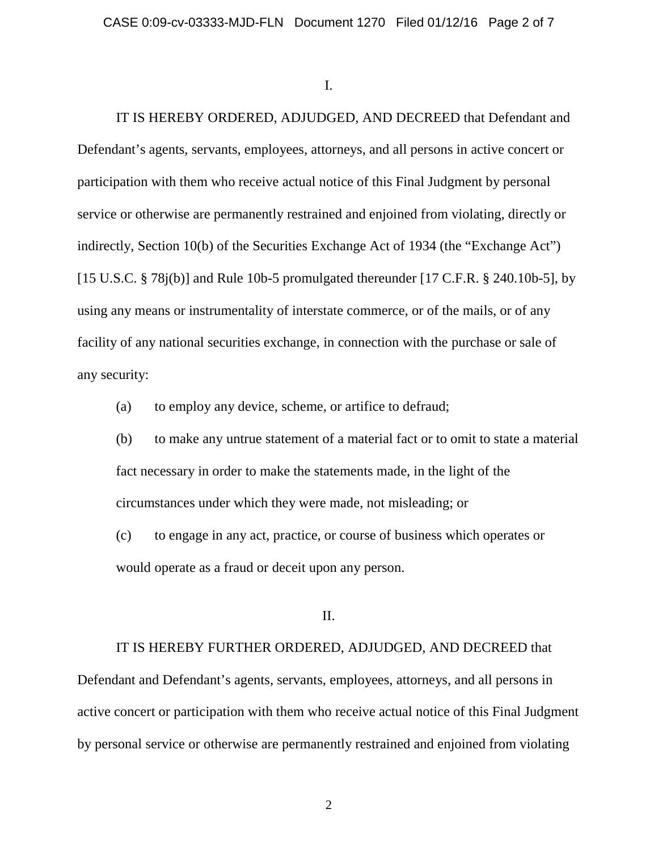I.

IT IS HEREBY ORDERED, ADJUDGED, AND DECREED that Defendant and Defendant's agents, servants, employees, attorneys, and all persons in active concert or participation with them who receive actual notice of this Final Judgment by personal service or otherwise are permanently restrained and enjoined from violating, directly or indirectly, Section 10(b) of the Securities Exchange Act of 1934 (the "Exchange Act") [15 U.S.C.  $\S$  78j(b)] and Rule 10b-5 promulgated thereunder [17 C.F.R.  $\S$  240.10b-5], by using any means or instrumentality of interstate commerce, or of the mails, or of any facility of any national securities exchange, in connection with the purchase or sale of any security:

(a) to employ any device, scheme, or artifice to defraud;

(b) to make any untrue statement of a material fact or to omit to state a material fact necessary in order to make the statements made, in the light of the circumstances under which they were made, not misleading; or

(c) to engage in any act, practice, or course of business which operates or would operate as a fraud or deceit upon any person.

II.

IT IS HEREBY FURTHER ORDERED, ADJUDGED, AND DECREED that

Defendant and Defendant's agents, servants, employees, attorneys, and all persons in active concert or participation with them who receive actual notice of this Final Judgment by personal service or otherwise are permanently restrained and enjoined from violating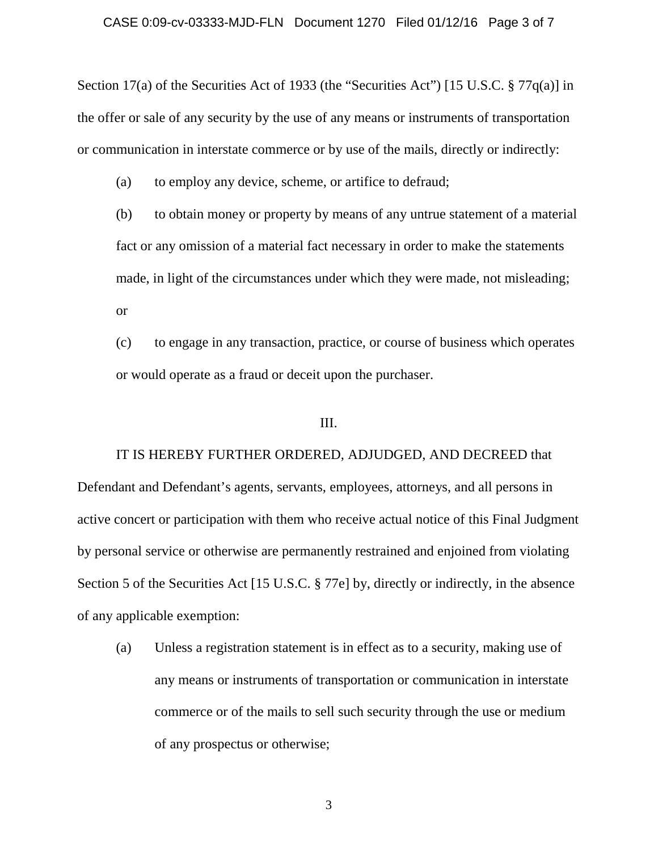Section 17(a) of the Securities Act of 1933 (the "Securities Act") [15 U.S.C. § 77q(a)] in the offer or sale of any security by the use of any means or instruments of transportation or communication in interstate commerce or by use of the mails, directly or indirectly:

(a) to employ any device, scheme, or artifice to defraud;

(b) to obtain money or property by means of any untrue statement of a material fact or any omission of a material fact necessary in order to make the statements made, in light of the circumstances under which they were made, not misleading; or

(c) to engage in any transaction, practice, or course of business which operates or would operate as a fraud or deceit upon the purchaser.

### III.

IT IS HEREBY FURTHER ORDERED, ADJUDGED, AND DECREED that Defendant and Defendant's agents, servants, employees, attorneys, and all persons in active concert or participation with them who receive actual notice of this Final Judgment by personal service or otherwise are permanently restrained and enjoined from violating Section 5 of the Securities Act [15 U.S.C. § 77e] by, directly or indirectly, in the absence of any applicable exemption:

(a) Unless a registration statement is in effect as to a security, making use of any means or instruments of transportation or communication in interstate commerce or of the mails to sell such security through the use or medium of any prospectus or otherwise;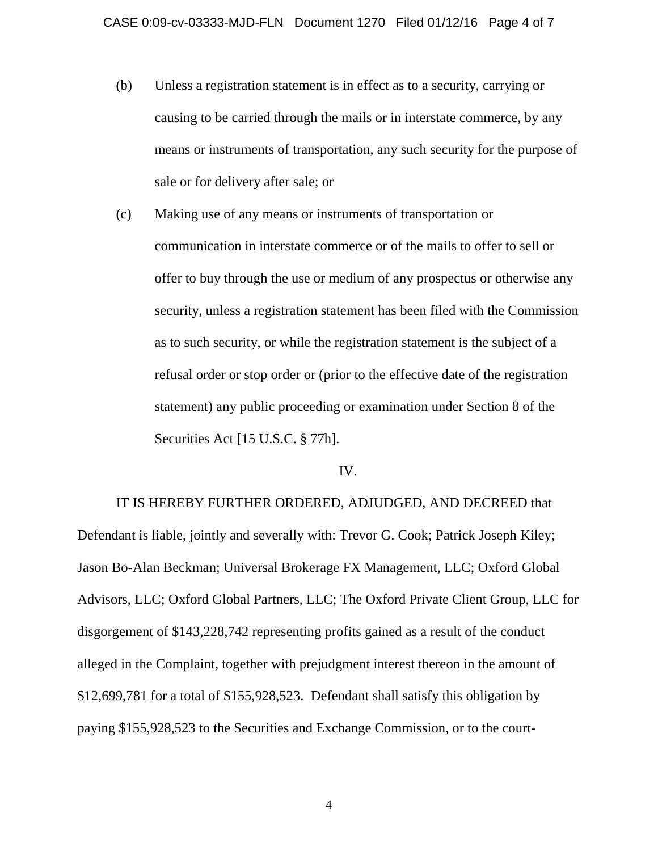- (b) Unless a registration statement is in effect as to a security, carrying or causing to be carried through the mails or in interstate commerce, by any means or instruments of transportation, any such security for the purpose of sale or for delivery after sale; or
- (c) Making use of any means or instruments of transportation or communication in interstate commerce or of the mails to offer to sell or offer to buy through the use or medium of any prospectus or otherwise any security, unless a registration statement has been filed with the Commission as to such security, or while the registration statement is the subject of a refusal order or stop order or (prior to the effective date of the registration statement) any public proceeding or examination under Section 8 of the Securities Act [15 U.S.C. § 77h].

#### IV.

IT IS HEREBY FURTHER ORDERED, ADJUDGED, AND DECREED that Defendant is liable, jointly and severally with: Trevor G. Cook; Patrick Joseph Kiley; Jason Bo-Alan Beckman; Universal Brokerage FX Management, LLC; Oxford Global Advisors, LLC; Oxford Global Partners, LLC; The Oxford Private Client Group, LLC for disgorgement of \$143,228,742 representing profits gained as a result of the conduct alleged in the Complaint, together with prejudgment interest thereon in the amount of \$12,699,781 for a total of \$155,928,523. Defendant shall satisfy this obligation by paying \$155,928,523 to the Securities and Exchange Commission, or to the court-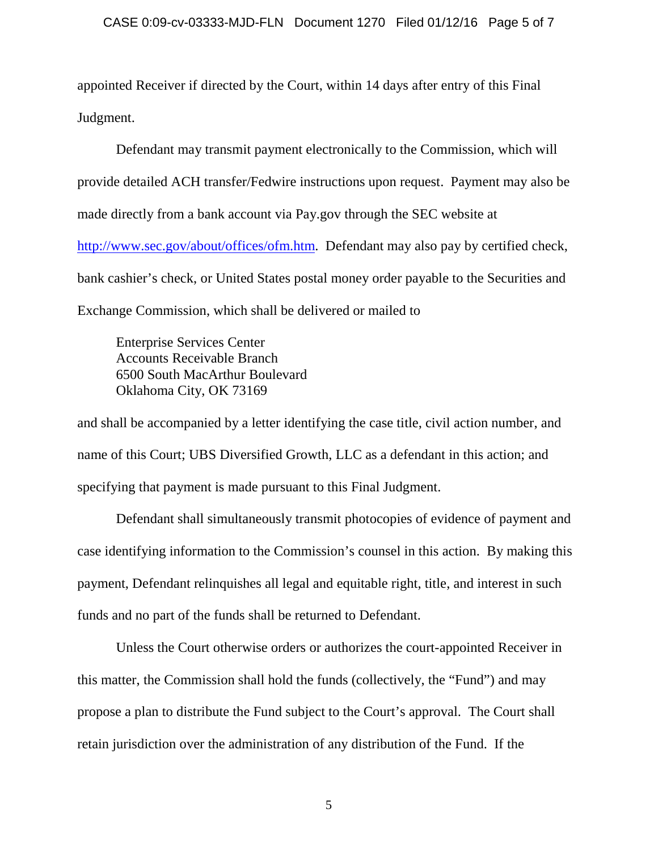appointed Receiver if directed by the Court, within 14 days after entry of this Final Judgment.

Defendant may transmit payment electronically to the Commission, which will provide detailed ACH transfer/Fedwire instructions upon request. Payment may also be made directly from a bank account via Pay.gov through the SEC website at [http://www.sec.gov/about/offices/ofm.htm.](http://www.sec.gov/about/offices/ofm.htm) Defendant may also pay by certified check, bank cashier's check, or United States postal money order payable to the Securities and Exchange Commission, which shall be delivered or mailed to

Enterprise Services Center Accounts Receivable Branch 6500 South MacArthur Boulevard Oklahoma City, OK 73169

and shall be accompanied by a letter identifying the case title, civil action number, and name of this Court; UBS Diversified Growth, LLC as a defendant in this action; and specifying that payment is made pursuant to this Final Judgment.

Defendant shall simultaneously transmit photocopies of evidence of payment and case identifying information to the Commission's counsel in this action. By making this payment, Defendant relinquishes all legal and equitable right, title, and interest in such funds and no part of the funds shall be returned to Defendant.

Unless the Court otherwise orders or authorizes the court-appointed Receiver in this matter, the Commission shall hold the funds (collectively, the "Fund") and may propose a plan to distribute the Fund subject to the Court's approval. The Court shall retain jurisdiction over the administration of any distribution of the Fund. If the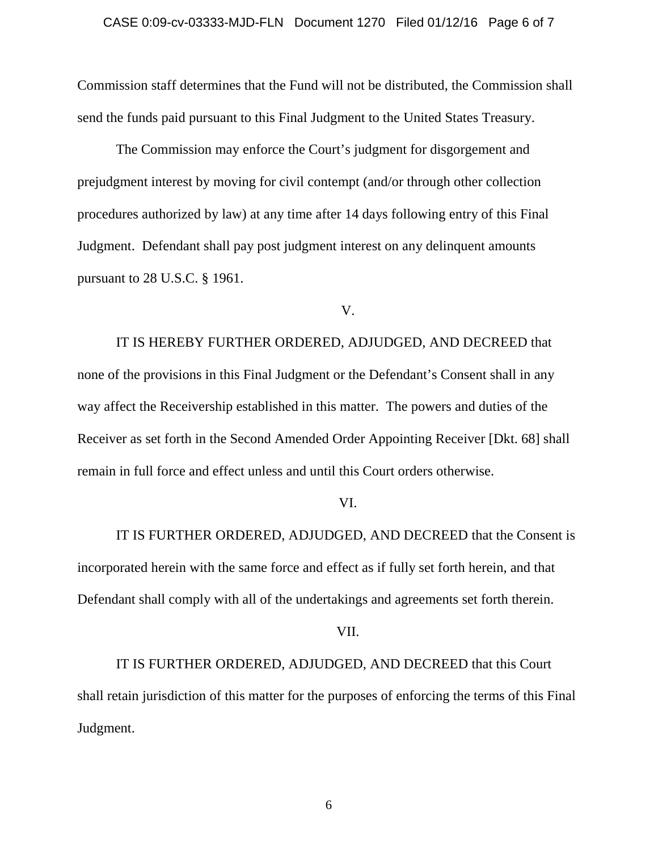Commission staff determines that the Fund will not be distributed, the Commission shall send the funds paid pursuant to this Final Judgment to the United States Treasury.

The Commission may enforce the Court's judgment for disgorgement and prejudgment interest by moving for civil contempt (and/or through other collection procedures authorized by law) at any time after 14 days following entry of this Final Judgment. Defendant shall pay post judgment interest on any delinquent amounts pursuant to 28 U.S.C. § 1961.

V.

IT IS HEREBY FURTHER ORDERED, ADJUDGED, AND DECREED that none of the provisions in this Final Judgment or the Defendant's Consent shall in any way affect the Receivership established in this matter. The powers and duties of the Receiver as set forth in the Second Amended Order Appointing Receiver [Dkt. 68] shall remain in full force and effect unless and until this Court orders otherwise.

### VI.

IT IS FURTHER ORDERED, ADJUDGED, AND DECREED that the Consent is incorporated herein with the same force and effect as if fully set forth herein, and that Defendant shall comply with all of the undertakings and agreements set forth therein.

VII.

IT IS FURTHER ORDERED, ADJUDGED, AND DECREED that this Court shall retain jurisdiction of this matter for the purposes of enforcing the terms of this Final Judgment.